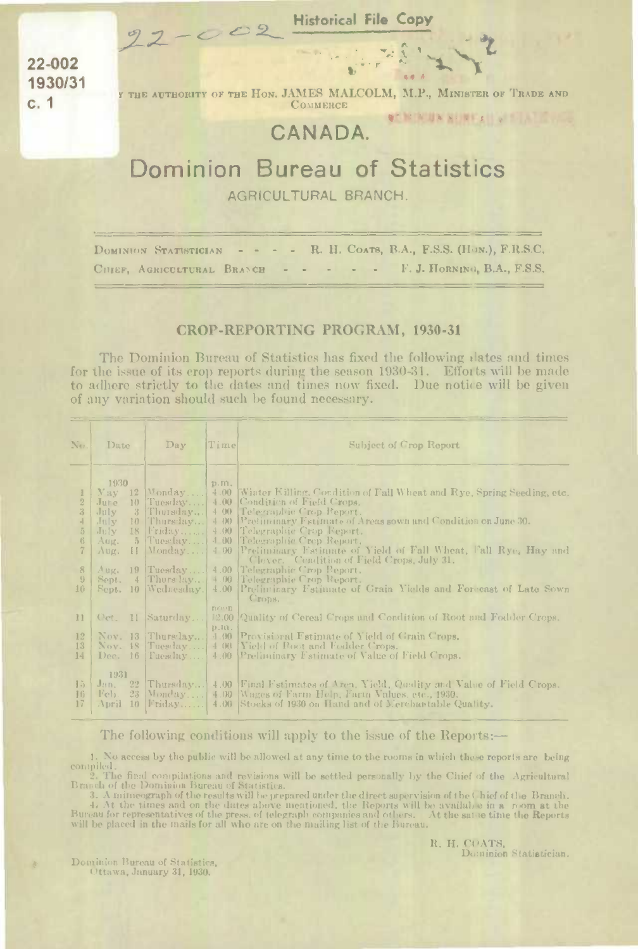22-002 1930/31  $c.1$ 

Y THE AUTHORITY OF THE HON. JAMES MALCOLM, M.P., MINISTER OF TRADE AND **COMMERCE AT NEW UNIVERSITY OF BUILDING** 

## CANADA.

22 - 002 Historical File Copy

## Dominion Bureau of Statistics AGRICULTURAL BRANCH.

- - R. H. COATS, B.A., F.S.S. (HON.), F.R.S.C. DOMINION STATISTICIAN CHIEF, AGRICULTURAL BRANCH - - - - - F.J. HORNING, B.A., F.S.S.

## CROP-REPORTING PROGRAM, 1930-31

The Dominion Bureau of Statistics has fixed the following dates and times for the issue of its crop reports during the season 1930-31. Efforts will be made to adhere strictly to the dates and times now fixed. Due notice will be given of any variation should such be found necessary.

| No.                                                                                       | Date                                                                          | $_{\rm Dav}$                                                                                                                                                       | Timel                     | Subject of Crop Report                                                                                                                                                                                                                                                                                                                                                                                                                                                                                                                                        |
|-------------------------------------------------------------------------------------------|-------------------------------------------------------------------------------|--------------------------------------------------------------------------------------------------------------------------------------------------------------------|---------------------------|---------------------------------------------------------------------------------------------------------------------------------------------------------------------------------------------------------------------------------------------------------------------------------------------------------------------------------------------------------------------------------------------------------------------------------------------------------------------------------------------------------------------------------------------------------------|
| $\overline{2}$<br>3<br>$\frac{1}{2}$<br>$\ddot{5}$<br>6<br>7<br>8<br>$\overline{9}$<br>10 | 1930<br>Yay.<br>Jure<br>July<br>July<br>July<br>Aug.<br>Aug.<br>Aug.<br>Sept. | $12$   Monday<br>10 Tuesday<br>3 Thursday<br>$10$ [Thursday]<br>$18$ Friday<br>$5$ Tues $\ln y$<br>$H$ Monday<br>19 Tuesday<br>$4$ Thursday<br>Sept. 10 Wednesday. | D.m.                      | 4.00 Winter Killing, Condition of Fall Wheat and Rye, Spring Seeding, etc.<br>4.00 Condition of Field Crops.<br>4.00 [Telegraphic Crop Report.<br>4 00 Pretininary Estimate of Areas sown and Condition on June 30.<br>4.00 Telegraphic Crop Feport.<br>4.00 Telegraphic Crep Report.<br>4.00 Preliminary Fatimate of Yield of Fall Wheat, Fall Rye, Hay and<br>Clover. Condition of Field Crops, July 31.<br>4.00 Telegraphic Crop Report.<br>4.00 Telegraphic Crop Report.<br>4.00 Preliminary Fstimate of Grain Yields and Forecast of Late Sown<br>Crops. |
| $_{11}$<br>12<br>13<br>14                                                                 |                                                                               | $Qct.$ 11 Saturday<br>Nov. 13 Thursday<br>Nov. 18 Tuesday<br>Dec. 16   Puesday                                                                                     | novin.<br>D.H.<br>$-1.00$ | 12.00 Quality of Cereal Crops and Condition of Root and Fodder Crops.<br>Provisional Fatimate of Yield of Grain Crops.<br>4.00 [Yield of Root and Fodder Crops.]<br>4.00 Preliminary Estimate of Value of Field Crops.                                                                                                                                                                                                                                                                                                                                        |
| 15<br>16<br>17                                                                            | 1931<br>$22 -$<br>Jan.<br>Feb.<br>April                                       | $23$ Monday<br>$10$ Friday                                                                                                                                         |                           | [Thursday] 4.00 [Final Fstimates of Aren, Yield, Quality and Value of Field Crops.]<br>4.00 Wages of Farm Help, Farm Values, etc., 1930.<br>4.00 Stocks of 1930 on Hand and of Merchantable Quality.                                                                                                                                                                                                                                                                                                                                                          |

## The following conditions will apply to the issue of the Reports:—

1. No access by the public will be allowed at any time to the rooms in which these reports are being compiled. 2. The final compilations and revisions will be settled personally by the Chief of the Agricultural

Branch of the Dominion Bureau of Statistics.

3. A mineograph of the results will be prepared under the direct supervision of the Chief of the Branch.<br>4. At the times and on the dates above mentioned, the Reports will be available in a room at the<br>Bureau for represent

R. H. COATS. Dominion Statistician.

Dominion Bureau of Statistics,<br>Ottawa, January 31, 1930.